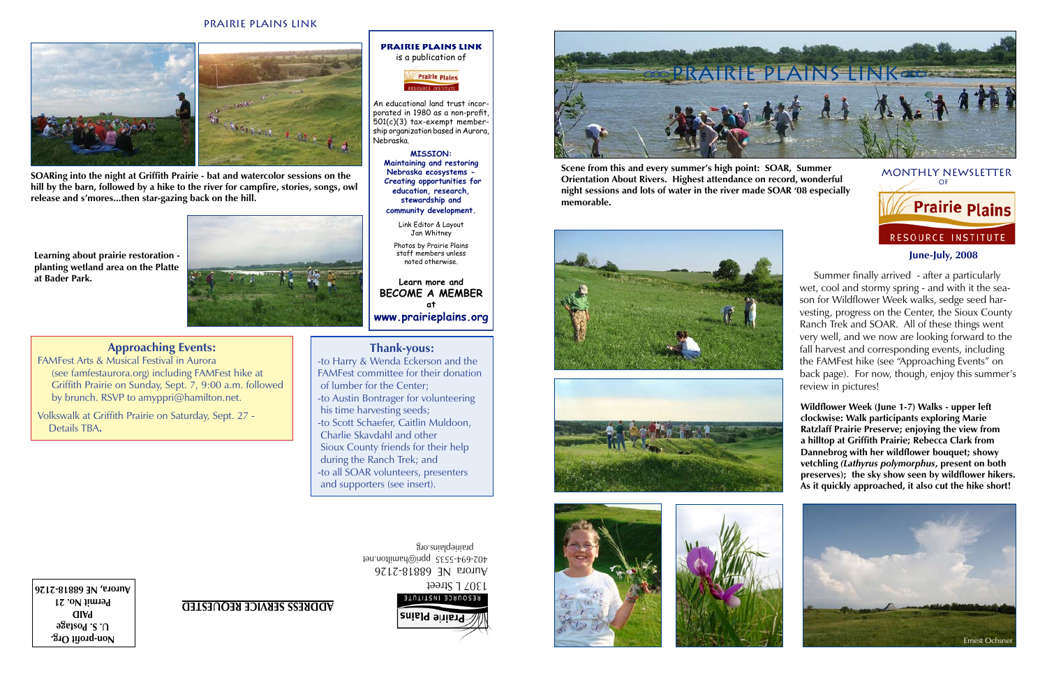#### **June-July, 2008**

# monthly newsletter of **Contrively** Plains RESOURCE INSTITUTE

**Non-profit Org. U. S. Postage PAID Permit No. 21** 1307 L Street<br>RESOURCE INSTITUTE

Aurora NE 68818-2126 402-694-5535 ppri@hamilton.net prairieplains.org





# **ADDRESS SERVICE REQUESTED**

# **Thank-yous:**

-to Harry & Wenda Eckerson and the FAMFest committee for their donation of lumber for the Center; -to Austin Bontrager for volunteering his time harvesting seeds; -to Scott Schaefer, Caitlin Muldoon, Charlie Skavdahl and other Sioux County friends for their help during the Ranch Trek; and -to all SOAR volunteers, presenters and supporters (see insert).

### Prairie plains link



**Approaching Events:**

### **Prairie Plains Link** is a publication of **Prairie Plains**



FAMFest Arts & Musical Festival in Aurora (see famfestaurora.org) including FAMFest hike at Griffith Prairie on Sunday, Sept. 7, 9:00 a.m. followed by brunch. RSVP to amyppri@hamilton.net.

Volkswalk at Griffith Prairie on Saturday, Sept. 27 - Details TBA**.**



An educational land trust incorporated in 1980 as a non-profit, 501(c)(3) tax-exempt membership organization based in Aurora, Nebraska.

> **MISSION: Maintaining and restoring Nebraska ecosystems - Creating opportunities for education, research, stewardship and community development.**

Link Editor & Layout Jan Whitney Photos by Prairie Plains staff members unless

noted otherwise.

**Learn more and BECOME A MEMBER at www.prairieplains.org** **Scene from this and every summer's high point: SOAR, Summer Orientation About Rivers. Highest attendance on record, wonderful night sessions and lots of water in the river made SOAR '08 especially memorable.**

**SOARing into the night at Griffith Prairie - bat and watercolor sessions on the hill by the barn, followed by a hike to the river for campfire, stories, songs, owl release and s'mores...then star-gazing back on the hill.**



**Learning about prairie restoration planting wetland area on the Platte** 









son for Wildflower Week walks, sedge seed harthe FAMFest hike (see "Approaching Events" on

wet, cool and stormy spring - and with it the seavesting, progress on the Center, the Sioux County Ranch Trek and SOAR. All of these things went very well, and we now are looking forward to the fall harvest and corresponding events, including back page). For now, though, enjoy this summer's review in pictures!

**Wildflower Week (June 1-7) Walks - upper left clockwise: Walk participants exploring Marie Ratzlaff Prairie Preserve; enjoying the view from a hilltop at Griffith Prairie; Rebecca Clark from Dannebrog with her wildflower bouquet; showy vetchling** *(Lathyrus polymorphus***, present on both preserves); the sky show seen by wildflower hikers. As it quickly approached, it also cut the hike short!**